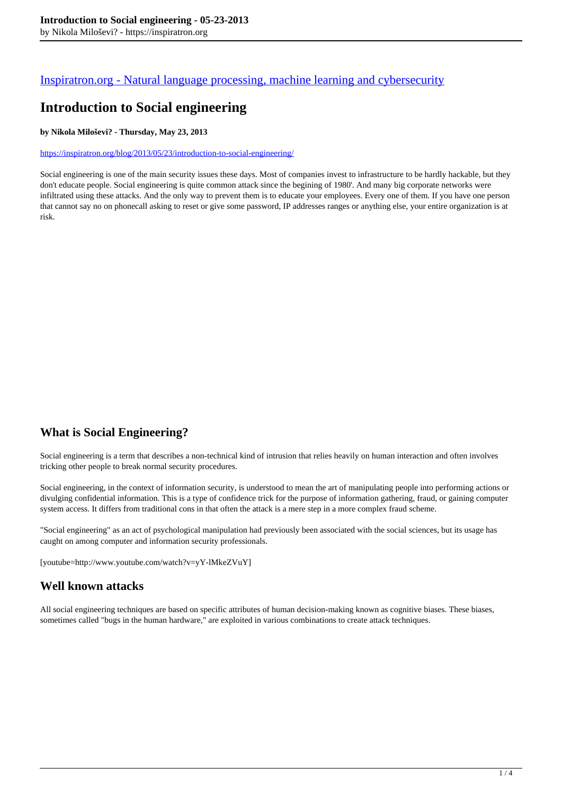# [Inspiratron.org - Natural language processing, machine learning and cybersecurity](https://inspiratron.org)

# **Introduction to Social engineering**

#### **by Nikola Miloševi? - Thursday, May 23, 2013**

#### https://inspiratron.org/blog/2013/05/23/introduction-to-social-engineering/

Social engineering is one of the main security issues these days. Most of companies invest to infrastructure to be hardly hackable, but they don't educate people. Social engineering is quite common attack since the begining of 1980'. And many big corporate networks were infiltrated using these attacks. And the only way to prevent them is to educate your employees. Every one of them. If you have one person that cannot say no on phonecall asking to reset or give some password, IP addresses ranges or anything else, your entire organization is at risk.



# **What is Social Engineering?**

Social engineering is a term that describes a non-technical kind of intrusion that relies heavily on human interaction and often involves tricking other people to break normal security procedures.

Social engineering, in the context of information security, is understood to mean the art of manipulating people into performing actions or divulging confidential information. This is a type of confidence trick for the purpose of information gathering, fraud, or gaining computer system access. It differs from traditional cons in that often the attack is a mere step in a more complex fraud scheme.

"Social engineering" as an act of psychological manipulation had previously been associated with the social sciences, but its usage has caught on among computer and information security professionals.

[youtube=http://www.youtube.com/watch?v=yY-lMkeZVuY]

# **Well known attacks**

All social engineering techniques are based on specific attributes of human decision-making known as cognitive biases. These biases, sometimes called "bugs in the human hardware," are exploited in various combinations to create attack techniques.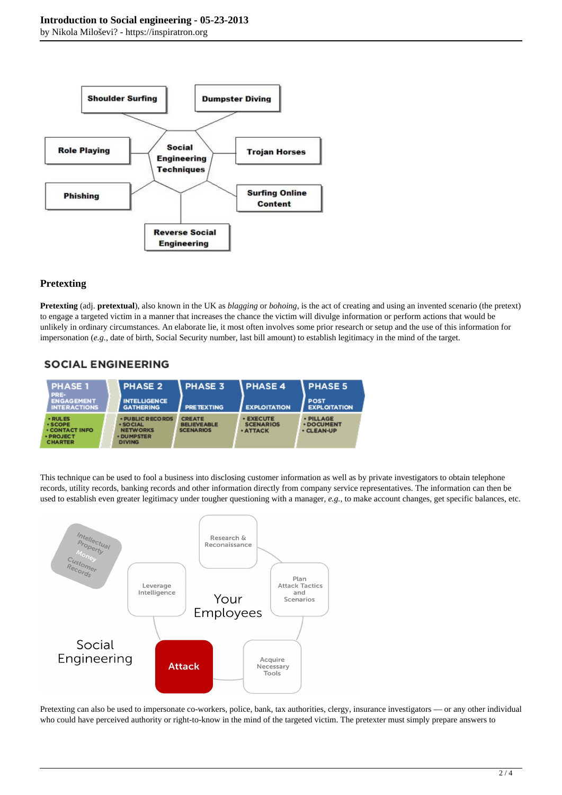by Nikola Miloševi? - https://inspiratron.org



### **Pretexting**

**Pretexting** (adj. **pretextual**), also known in the UK as *blagging* or *bohoing*, is the act of creating and using an invented scenario (the pretext) to engage a targeted victim in a manner that increases the chance the victim will divulge information or perform actions that would be unlikely in ordinary circumstances. An elaborate lie, it most often involves some prior research or setup and the use of this information for impersonation (*e.g.*, date of birth, Social Security number, last bill amount) to establish legitimacy in the mind of the target.

# **SOCIAL ENGINEERING**



This technique can be used to fool a business into disclosing customer information as well as by private investigators to obtain telephone records, utility records, banking records and other information directly from company service representatives. The information can then be used to establish even greater legitimacy under tougher questioning with a manager, *e.g.*, to make account changes, get specific balances, etc.



Pretexting can also be used to impersonate co-workers, police, bank, tax authorities, clergy, insurance investigators — or any other individual who could have perceived authority or right-to-know in the mind of the targeted victim. The pretexter must simply prepare answers to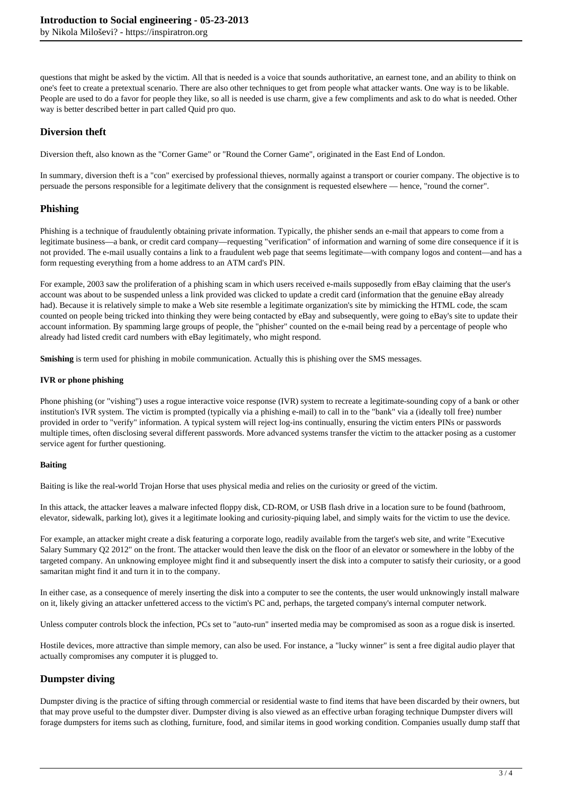questions that might be asked by the victim. All that is needed is a voice that sounds authoritative, an earnest tone, and an ability to think on one's feet to create a pretextual scenario. There are also other techniques to get from people what attacker wants. One way is to be likable. People are used to do a favor for people they like, so all is needed is use charm, give a few compliments and ask to do what is needed. Other way is better described better in part called Quid pro quo.

### **Diversion theft**

Diversion theft, also known as the "Corner Game" or "Round the Corner Game", originated in the East End of London.

In summary, diversion theft is a "con" exercised by professional thieves, normally against a transport or courier company. The objective is to persuade the persons responsible for a legitimate delivery that the consignment is requested elsewhere — hence, "round the corner".

### **Phishing**

Phishing is a technique of fraudulently obtaining private information. Typically, the phisher sends an e-mail that appears to come from a legitimate business—a bank, or credit card company—requesting "verification" of information and warning of some dire consequence if it is not provided. The e-mail usually contains a link to a fraudulent web page that seems legitimate—with company logos and content—and has a form requesting everything from a home address to an ATM card's PIN.

For example, 2003 saw the proliferation of a phishing scam in which users received e-mails supposedly from eBay claiming that the user's account was about to be suspended unless a link provided was clicked to update a credit card (information that the genuine eBay already had). Because it is relatively simple to make a Web site resemble a legitimate organization's site by mimicking the HTML code, the scam counted on people being tricked into thinking they were being contacted by eBay and subsequently, were going to eBay's site to update their account information. By spamming large groups of people, the "phisher" counted on the e-mail being read by a percentage of people who already had listed credit card numbers with eBay legitimately, who might respond.

**Smishing** is term used for phishing in mobile communication. Actually this is phishing over the SMS messages.

#### **IVR or phone phishing**

Phone phishing (or "vishing") uses a rogue interactive voice response (IVR) system to recreate a legitimate-sounding copy of a bank or other institution's IVR system. The victim is prompted (typically via a phishing e-mail) to call in to the "bank" via a (ideally toll free) number provided in order to "verify" information. A typical system will reject log-ins continually, ensuring the victim enters PINs or passwords multiple times, often disclosing several different passwords. More advanced systems transfer the victim to the attacker posing as a customer service agent for further questioning.

#### **Baiting**

Baiting is like the real-world Trojan Horse that uses physical media and relies on the curiosity or greed of the victim.

In this attack, the attacker leaves a malware infected floppy disk, CD-ROM, or USB flash drive in a location sure to be found (bathroom, elevator, sidewalk, parking lot), gives it a legitimate looking and curiosity-piquing label, and simply waits for the victim to use the device.

For example, an attacker might create a disk featuring a corporate logo, readily available from the target's web site, and write "Executive Salary Summary Q2 2012" on the front. The attacker would then leave the disk on the floor of an elevator or somewhere in the lobby of the targeted company. An unknowing employee might find it and subsequently insert the disk into a computer to satisfy their curiosity, or a good samaritan might find it and turn it in to the company.

In either case, as a consequence of merely inserting the disk into a computer to see the contents, the user would unknowingly install malware on it, likely giving an attacker unfettered access to the victim's PC and, perhaps, the targeted company's internal computer network.

Unless computer controls block the infection, PCs set to "auto-run" inserted media may be compromised as soon as a rogue disk is inserted.

Hostile devices, more attractive than simple memory, can also be used. For instance, a "lucky winner" is sent a free digital audio player that actually compromises any computer it is plugged to.

## **Dumpster diving**

Dumpster diving is the practice of sifting through commercial or residential waste to find items that have been discarded by their owners, but that may prove useful to the dumpster diver. Dumpster diving is also viewed as an effective urban foraging technique Dumpster divers will forage dumpsters for items such as clothing, furniture, food, and similar items in good working condition. Companies usually dump staff that